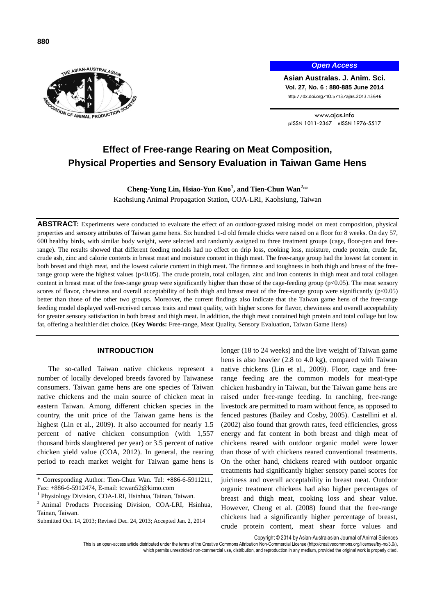

## *Open Access*

**Asian Australas. J. Anim. Sci. Vol. 27, No. 6 : 880-885 June 2014** http://dx.doi.org/10.5713/ajas.2013.13646

www.ajas.info pISSN 1011-2367 eISSN 1976-5517

# **Effect of Free-range Rearing on Meat Composition, Physical Properties and Sensory Evaluation in Taiwan Game Hens**

# Cheng-Yung Lin, Hsiao-Yun Kuo<sup>1</sup>, and Tien-Chun Wan<sup>2,</sup>\*

Kaohsiung Animal Propagation Station, COA-LRI, Kaohsiung, Taiwan

**ABSTRACT:** Experiments were conducted to evaluate the effect of an outdoor-grazed raising model on meat composition, physical properties and sensory attributes of Taiwan game hens. Six hundred 1-d old female chicks were raised on a floor for 8 weeks. On day 57, 600 healthy birds, with similar body weight, were selected and randomly assigned to three treatment groups (cage, floor-pen and freerange). The results showed that different feeding models had no effect on drip loss, cooking loss, moisture, crude protein, crude fat, crude ash, zinc and calorie contents in breast meat and moisture content in thigh meat. The free-range group had the lowest fat content in both breast and thigh meat, and the lowest calorie content in thigh meat. The firmness and toughness in both thigh and breast of the freerange group were the highest values (p<0.05). The crude protein, total collagen, zinc and iron contents in thigh meat and total collagen content in breast meat of the free-range group were significantly higher than those of the cage-feeding group (p<0.05). The meat sensory scores of flavor, chewiness and overall acceptability of both thigh and breast meat of the free-range group were significantly (p<0.05) better than those of the other two groups. Moreover, the current findings also indicate that the Taiwan game hens of the free-range feeding model displayed well-received carcass traits and meat quality, with higher scores for flavor, chewiness and overall acceptability for greater sensory satisfaction in both breast and thigh meat. In addition, the thigh meat contained high protein and total collage but low fat, offering a healthier diet choice. (**Key Words:** Free-range, Meat Quality, Sensory Evaluation, Taiwan Game Hens)

## **INTRODUCTION**

The so-called Taiwan native chickens represent a number of locally developed breeds favored by Taiwanese consumers. Taiwan game hens are one species of Taiwan native chickens and the main source of chicken meat in eastern Taiwan. Among different chicken species in the country, the unit price of the Taiwan game hens is the highest (Lin et al., 2009). It also accounted for nearly 1.5 percent of native chicken consumption (with 1,557 thousand birds slaughtered per year) or 3.5 percent of native chicken yield value (COA, 2012). In general, the rearing period to reach market weight for Taiwan game hens is longer (18 to 24 weeks) and the live weight of Taiwan game hens is also heavier (2.8 to 4.0 kg), compared with Taiwan native chickens (Lin et al., 2009). Floor, cage and freerange feeding are the common models for meat-type chicken husbandry in Taiwan, but the Taiwan game hens are raised under free-range feeding. In ranching, free-range livestock are permitted to roam without fence, as opposed to fenced pastures (Bailey and Cosby, 2005). Castellini et al. (2002) also found that growth rates, feed efficiencies, gross energy and fat content in both breast and thigh meat of chickens reared with outdoor organic model were lower than those of with chickens reared conventional treatments. On the other hand, chickens reared with outdoor organic treatments had significantly higher sensory panel scores for juiciness and overall acceptability in breast meat. Outdoor organic treatment chickens had also higher percentages of breast and thigh meat, cooking loss and shear value. However, Cheng et al. (2008) found that the free-range chickens had a significantly higher percentage of breast, crude protein content, meat shear force values and

Copyright © 2014 by Asian-Australasian Journal of Animal Sciences

<sup>\*</sup> Corresponding Author: Tien-Chun Wan. Tel: +886-6-5911211, Fax: +886-6-5912474, E-mail: tcwan52@kimo.com

<sup>&</sup>lt;sup>1</sup> Physiology Division, COA-LRI, Hsinhua, Tainan, Taiwan.

<sup>2</sup> Animal Products Processing Division, COA-LRI, Hsinhua, Tainan, Taiwan.

Submitted Oct. 14, 2013; Revised Dec. 24, 2013; Accepted Jan. 2, 2014

This is an open-access article distributed under the terms of the Creative Commons Attribution Non-Commercial License [\(http://creativecommons.org/licenses/by-nc/3.0/\),](http://creativecommons.org/licenses/by-nc/3.0/) which permits unrestricted non-commercial use, distribution, and reproduction in any medium, provided the original work is properly cited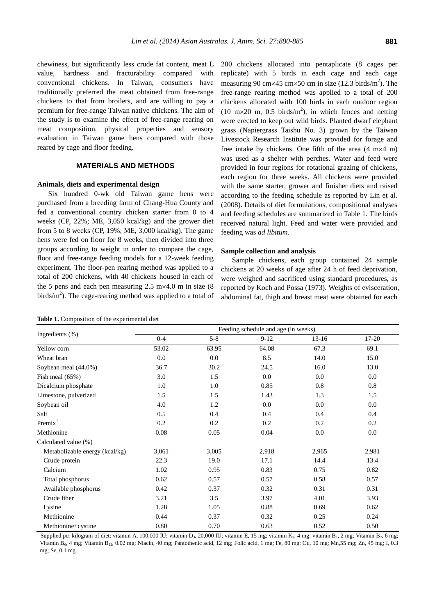chewiness, but significantly less crude fat content, meat L value, hardness and fracturability compared with conventional chickens. In Taiwan, consumers have traditionally preferred the meat obtained from free-range chickens to that from broilers, and are willing to pay a premium for free-range Taiwan native chickens. The aim of the study is to examine the effect of free-range rearing on meat composition, physical properties and sensory evaluation in Taiwan game hens compared with those reared by cage and floor feeding.

# **MATERIALS AND METHODS**

## **Animals, diets and experimental design**

Six hundred 0-wk old Taiwan game hens were purchased from a breeding farm of Chang-Hua County and fed a conventional country chicken starter from 0 to 4 weeks (CP, 22%; ME, 3,050 kcal/kg) and the grower diet from 5 to 8 weeks (CP, 19%; ME, 3,000 kcal/kg). The game hens were fed on floor for 8 weeks, then divided into three groups according to weight in order to compare the cage, floor and free-range feeding models for a 12-week feeding experiment. The floor-pen rearing method was applied to a total of 200 chickens, with 40 chickens housed in each of the 5 pens and each pen measuring  $2.5 \text{ m} \times 4.0 \text{ m}$  in size (8) birds/ $m<sup>2</sup>$ ). The cage-rearing method was applied to a total of

|  |  | Table 1. Composition of the experimental diet |  |
|--|--|-----------------------------------------------|--|
|  |  |                                               |  |

200 chickens allocated into pentaplicate (8 cages per replicate) with 5 birds in each cage and each cage measuring 90 cm $\times$ 45 cm $\times$ 50 cm in size (12.3 birds/m<sup>2</sup>). The free-range rearing method was applied to a total of 200 chickens allocated with 100 birds in each outdoor region  $(10 \text{ m} \times 20 \text{ m}, 0.5 \text{ birds/m}^2)$ , in which fences and netting were erected to keep out wild birds. Planted dwarf elephant grass (Napiergrass Taishu No. 3) grown by the Taiwan Livestock Research Institute was provided for forage and free intake by chickens. One fifth of the area  $(4 \text{ m} \times 4 \text{ m})$ was used as a shelter with perches. Water and feed were provided in four regions for rotational grazing of chickens, each region for three weeks. All chickens were provided with the same starter, grower and finisher diets and raised according to the feeding schedule as reported by Lin et al. (2008). Details of diet formulations, compositional analyses and feeding schedules are summarized in Table 1. The birds received natural light. Feed and water were provided and feeding was *ad libitum*.

#### **Sample collection and analysis**

Sample chickens, each group contained 24 sample chickens at 20 weeks of age after 24 h of feed deprivation, were weighed and sacrificed using standard procedures, as reported by Koch and Possa (1973). Weights of evisceration, abdominal fat, thigh and breast meat were obtained for each

|                                | Feeding schedule and age (in weeks) |         |        |         |       |  |
|--------------------------------|-------------------------------------|---------|--------|---------|-------|--|
| Ingredients (%)                | $0 - 4$                             | $5 - 8$ | $9-12$ | $13-16$ | 17-20 |  |
| Yellow corn                    | 53.02                               | 63.95   | 64.08  | 67.3    | 69.1  |  |
| Wheat bran                     | 0.0                                 | 0.0     | 8.5    | 14.0    | 15.0  |  |
| Soybean meal (44.0%)           | 36.7                                | 30.2    | 24.5   | 16.0    | 13.0  |  |
| Fish meal $(65\%)$             | 3.0                                 | 1.5     | 0.0    | 0.0     | 0.0   |  |
| Dicalcium phosphate            | 1.0                                 | 1.0     | 0.85   | 0.8     | 0.8   |  |
| Limestone, pulverized          | 1.5                                 | 1.5     | 1.43   | 1.3     | 1.5   |  |
| Soybean oil                    | 4.0                                 | 1.2     | 0.0    | 0.0     | 0.0   |  |
| Salt                           | 0.5                                 | 0.4     | 0.4    | 0.4     | 0.4   |  |
| Premix <sup>1</sup>            | 0.2                                 | 0.2     | 0.2    | 0.2     | 0.2   |  |
| Methionine                     | 0.08                                | 0.05    | 0.04   | 0.0     | 0.0   |  |
| Calculated value (%)           |                                     |         |        |         |       |  |
| Metabolizable energy (kcal/kg) | 3,061                               | 3,005   | 2,918  | 2,965   | 2,981 |  |
| Crude protein                  | 22.3                                | 19.0    | 17.1   | 14.4    | 13.4  |  |
| Calcium                        | 1.02                                | 0.95    | 0.83   | 0.75    | 0.82  |  |
| Total phosphorus               | 0.62                                | 0.57    | 0.57   | 0.58    | 0.57  |  |
| Available phosphorus           | 0.42                                | 0.37    | 0.32   | 0.31    | 0.31  |  |
| Crude fiber                    | 3.21                                | 3.5     | 3.97   | 4.01    | 3.93  |  |
| Lysine                         | 1.28                                | 1.05    | 0.88   | 0.69    | 0.62  |  |
| Methionine                     | 0.44                                | 0.37    | 0.32   | 0.25    | 0.24  |  |
| Methionine+cystine             | 0.80                                | 0.70    | 0.63   | 0.52    | 0.50  |  |

<sup>1</sup> Supplied per kilogram of diet: vitamin A, 100,000 IU; vitamin D<sub>3</sub>, 20,000 IU; vitamin E, 15 mg; vitamin K<sub>3</sub>, 4 mg; vitamin B<sub>1</sub>, 2 mg; Vitamin B<sub>2</sub>, 6 mg; Vitamin B6, 4 mg; Vitamin B12, 0.02 mg; Niacin, 40 mg; Pantothenic acid, 12 mg; Folic acid, 1 mg; Fe, 80 mg; Cu, 10 mg; Mn,55 mg; Zn, 45 mg; I, 0.3 mg; Se, 0.1 mg.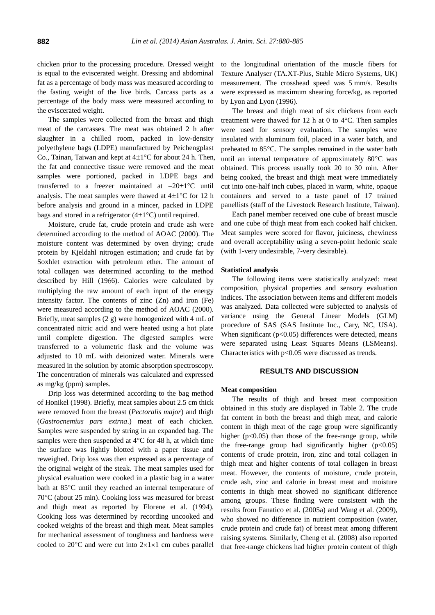chicken prior to the processing procedure. Dressed weight is equal to the eviscerated weight. Dressing and abdominal fat as a percentage of body mass was measured according to the fasting weight of the live birds. Carcass parts as a percentage of the body mass were measured according to the eviscerated weight.

The samples were collected from the breast and thigh meat of the carcasses. The meat was obtained 2 h after slaughter in a chilled room, packed in low-density polyethylene bags (LDPE) manufactured by Peichengplast Co., Tainan, Taiwan and kept at  $4\pm1^{\circ}$ C for about 24 h. Then, the fat and connective tissue were removed and the meat samples were portioned, packed in LDPE bags and transferred to a freezer maintained at  $-20\pm1\degree C$  until analysis. The meat samples were thawed at  $4\pm1$ °C for 12 h before analysis and ground in a mincer, packed in LDPE bags and stored in a refrigerator  $(4\pm1\degree C)$  until required.

Moisture, crude fat, crude protein and crude ash were determined according to the method of AOAC (2000). The moisture content was determined by oven drying; crude protein by Kjeldahl nitrogen estimation; and crude fat by Soxhlet extraction with petroleum ether. The amount of total collagen was determined according to the method described by Hill (1966). Calories were calculated by multiplying the raw amount of each input of the energy intensity factor. The contents of zinc  $(Zn)$  and iron  $(Fe)$ were measured according to the method of AOAC (2000). Briefly, meat samples (2 g) were homogenized with 4 mL of concentrated nitric acid and were heated using a hot plate until complete digestion. The digested samples were transferred to a volumetric flask and the volume was adjusted to 10 mL with deionized water. Minerals were measured in the solution by atomic absorption spectroscopy. The concentration of minerals was calculated and expressed as mg/kg (ppm) samples.

Drip loss was determined according to the bag method of Honikel (1998). Briefly, meat samples about 2.5 cm thick were removed from the breast (*Pectoralis major*) and thigh (*Gastrocnemius pars extrna*.) meat of each chicken. Samples were suspended by string in an expanded bag. The samples were then suspended at  $4^{\circ}$ C for 48 h, at which time the surface was lightly blotted with a paper tissue and reweighed. Drip loss was then expressed as a percentage of the original weight of the steak. The meat samples used for physical evaluation were cooked in a plastic bag in a water bath at 85°C until they reached an internal temperature of 70°C (about 25 min). Cooking loss was measured for breast and thigh meat as reported by Florene et al. (1994). Cooking loss was determined by recording uncooked and cooked weights of the breast and thigh meat. Meat samples for mechanical assessment of toughness and hardness were cooled to 20 $\degree$ C and were cut into 2×1×1 cm cubes parallel

to the longitudinal orientation of the muscle fibers for Texture Analyser (TA.XT-Plus, Stable Micro Systems, UK) measurement. The crosshead speed was 5 mm/s. Results were expressed as maximum shearing force/kg, as reported by Lyon and Lyon (1996).

The breast and thigh meat of six chickens from each treatment were thawed for 12 h at 0 to  $4^{\circ}$ C. Then samples were used for sensory evaluation. The samples were insulated with aluminum foil, placed in a water batch, and preheated to 85°C. The samples remained in the water bath until an internal temperature of approximately  $80^{\circ}$ C was obtained. This process usually took 20 to 30 min. After being cooked, the breast and thigh meat were immediately cut into one-half inch cubes, placed in warm, white, opaque containers and served to a taste panel of 17 trained panellists (staff of the Livestock Research Institute, Taiwan).

Each panel member received one cube of breast muscle and one cube of thigh meat from each cooked half chicken. Meat samples were scored for flavor, juiciness, chewiness and overall acceptability using a seven-point hedonic scale (with 1-very undesirable, 7-very desirable).

#### **Statistical analysis**

The following items were statistically analyzed: meat composition, physical properties and sensory evaluation indices. The association between items and different models was analyzed. Data collected were subjected to analysis of variance using the General Linear Models (GLM) procedure of SAS (SAS Institute Inc., Cary, NC, USA). When significant  $(p<0.05)$  differences were detected, means were separated using Least Squares Means (LSMeans). Characteristics with  $p<0.05$  were discussed as trends.

# **RESULTS AND DISCUSSION**

#### **Meat composition**

The results of thigh and breast meat composition obtained in this study are displayed in Table 2. The crude fat content in both the breast and thigh meat, and calorie content in thigh meat of the cage group were significantly higher  $(p<0.05)$  than those of the free-range group, while the free-range group had significantly higher  $(p<0.05)$ contents of crude protein, iron, zinc and total collagen in thigh meat and higher contents of total collagen in breast meat. However, the contents of moisture, crude protein, crude ash, zinc and calorie in breast meat and moisture contents in thigh meat showed no significant difference among groups. These finding were consistent with the results from Fanatico et al. (2005a) and Wang et al. (2009), who showed no difference in nutrient composition (water, crude protein and crude fat) of breast meat among different raising systems. Similarly, Cheng et al. (2008) also reported that free-range chickens had higher protein content of thigh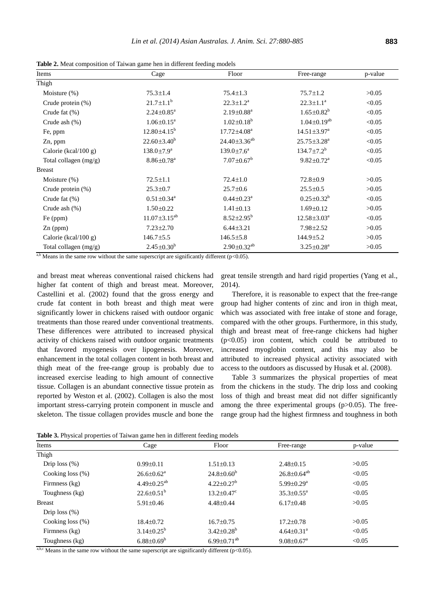**Table 2.** Meat composition of Taiwan game hen in different feeding models

| Items                   | Cage                         | Floor                         | Free-range                   | p-value |
|-------------------------|------------------------------|-------------------------------|------------------------------|---------|
| Thigh                   |                              |                               |                              |         |
| Moisture $(\%)$         | $75.3 \pm 1.4$               | $75.4 \pm 1.3$                | $75.7 \pm 1.2$               | >0.05   |
| Crude protein $(\%)$    | $21.7 \pm 1.1^b$             | $22.3 \pm 1.2^a$              | $22.3 \pm 1.1^a$             | < 0.05  |
| Crude fat $(\%)$        | $2.24 \pm 0.85^a$            | $2.19 \pm 0.88$ <sup>a</sup>  | $1.65 \pm 0.82^b$            | < 0.05  |
| Crude ash $(\%)$        | $1.06 \pm 0.15^a$            | $1.02 \pm 0.18^b$             | $1.04 \pm 0.19^{ab}$         | < 0.05  |
| Fe, ppm                 | $12.80 \pm 4.15^b$           | $17.72{\pm}4.08^a$            | $14.51 \pm 3.97^{\text{a}}$  | < 0.05  |
| Zn, ppm                 | $22.60 \pm 3.40^b$           | $24.40 \pm 3.36^{ab}$         | $25.75 \pm 3.28^a$           | < 0.05  |
| Calorie (kcal/100 g)    | $138.0 \pm 7.9^{\mathrm{a}}$ | $139.0 \pm 7.6^{\text{a}}$    | $134.7 \pm 7.2^b$            | < 0.05  |
| Total collagen $(mg/g)$ | $8.86 \pm 0.78$ <sup>a</sup> | $7.07 \pm 0.67^b$             | $9.82 \pm 0.72$ <sup>a</sup> | < 0.05  |
| <b>Breast</b>           |                              |                               |                              |         |
| Moisture $(\%)$         | $72.5 \pm 1.1$               | $72.4 \pm 1.0$                | $72.8 \pm 0.9$               | >0.05   |
| Crude protein $(\%)$    | $25.3 \pm 0.7$               | $25.7 \pm 0.6$                | $25.5 \pm 0.5$               | >0.05   |
| Crude fat $(\%)$        | $0.51 \pm 0.34$ <sup>a</sup> | $0.44 \pm 0.23$ <sup>a</sup>  | $0.25 \pm 0.32^b$            | < 0.05  |
| Crude ash $(\%)$        | $1.50 \pm 0.22$              | $1.41 \pm 0.13$               | $1.69 \pm 0.12$              | >0.05   |
| Fe (ppm)                | $11.07 \pm 3.15^{ab}$        | $8.52 \pm 2.95^b$             | $12.58 \pm 3.03^a$           | < 0.05  |
| $Zn$ (ppm)              | $7.23 \pm 2.70$              | $6.44 \pm 3.21$               | $7.98 \pm 2.52$              | >0.05   |
| Calorie (kcal/100 g)    | $146.7 \pm 5.5$              | $146.5 \pm 5.8$               | $144.9 \pm 5.2$              | >0.05   |
| Total collagen (mg/g)   | $2.45 \pm 0.30^b$            | $2.90 \pm 0.32$ <sup>ab</sup> | $3.25 \pm 0.28$ <sup>a</sup> | >0.05   |

 $a,b$  Means in the same row without the same superscript are significantly different (p<0.05).

and breast meat whereas conventional raised chickens had higher fat content of thigh and breast meat. Moreover, Castellini et al. (2002) found that the gross energy and crude fat content in both breast and thigh meat were significantly lower in chickens raised with outdoor organic treatments than those reared under conventional treatments. These differences were attributed to increased physical activity of chickens raised with outdoor organic treatments that favored myogenesis over lipogenesis. Moreover, enhancement in the total collagen content in both breast and thigh meat of the free-range group is probably due to increased exercise leading to high amount of connective tissue. Collagen is an abundant connective tissue protein as reported by Weston et al. (2002). Collagen is also the most important stress-carrying protein component in muscle and skeleton. The tissue collagen provides muscle and bone the

great tensile strength and hard rigid properties (Yang et al., 2014).

Therefore, it is reasonable to expect that the free-range group had higher contents of zinc and iron in thigh meat, which was associated with free intake of stone and forage, compared with the other groups. Furthermore, in this study, thigh and breast meat of free-range chickens had higher  $(p<0.05)$  iron content, which could be attributed to increased myoglobin content, and this may also be attributed to increased physical activity associated with access to the outdoors as discussed by Husak et al. (2008).

Table 3 summarizes the physical properties of meat from the chickens in the study. The drip loss and cooking loss of thigh and breast meat did not differ significantly among the three experimental groups  $(p>0.05)$ . The freerange group had the highest firmness and toughness in both

**Table 3.** Physical properties of Taiwan game hen in different feeding models

| Items               | Cage<br>Floor<br>Free-range |                               | p-value                      |        |
|---------------------|-----------------------------|-------------------------------|------------------------------|--------|
| Thigh               |                             |                               |                              |        |
| Drip $loss$ $%$     | $0.99 \pm 0.11$             | $1.51 \pm 0.13$               | $2.48 \pm 0.15$              | >0.05  |
| Cooking loss $(\%)$ | $26.6 \pm 0.62^{\text{a}}$  | $24.8 \pm 0.60^{\rm b}$       | $26.8 \pm 0.64^{ab}$         | < 0.05 |
| Firmness (kg)       | $4.49 \pm 0.25^{ab}$        | $4.22 \pm 0.27$ <sup>b</sup>  | $5.99 \pm 0.29$ <sup>a</sup> | < 0.05 |
| Toughness (kg)      | $22.6 \pm 0.51^b$           | $13.2 \pm 0.47$ °             | $35.3 \pm 0.55^{\text{a}}$   | < 0.05 |
| <b>Breast</b>       | $5.91 \pm 0.46$             | $4.48 \pm 0.44$               | $6.17\pm0.48$                | >0.05  |
| Drip loss $(\%)$    |                             |                               |                              |        |
| Cooking loss $(\%)$ | $18.4 \pm 0.72$             | $16.7 \pm 0.75$               | $17.2 \pm 0.78$              | >0.05  |
| Firmness (kg)       | $3.14 \pm 0.25^b$           | $3.42 \pm 0.28$ <sup>b</sup>  | $4.64 \pm 0.31$ <sup>a</sup> | < 0.05 |
| Toughness (kg)      | $6.88 \pm 0.69^b$           | 6.99 $\pm$ 0.71 <sup>ab</sup> | $9.08 \pm 0.67$ <sup>a</sup> | < 0.05 |

a,b,c Means in the same row without the same superscript are significantly different ( $p$ <0.05).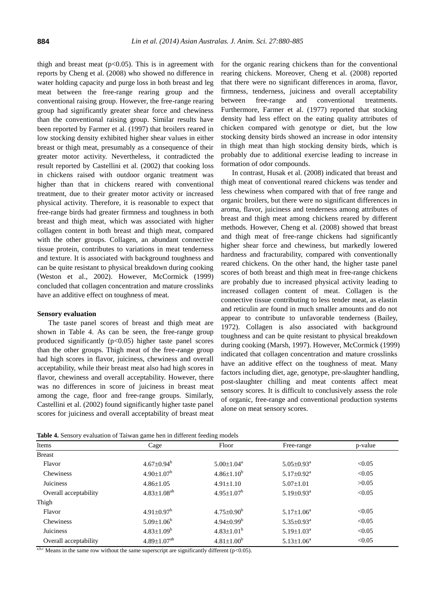thigh and breast meat  $(p<0.05)$ . This is in agreement with reports by Cheng et al. (2008) who showed no difference in water holding capacity and purge loss in both breast and leg meat between the free-range rearing group and the conventional raising group. However, the free-range rearing group had significantly greater shear force and chewiness than the conventional raising group. Similar results have been reported by Farmer et al. (1997) that broilers reared in low stocking density exhibited higher shear values in either breast or thigh meat, presumably as a consequence of their greater motor activity. Nevertheless, it contradicted the result reported by Castellini et al. (2002) that cooking loss in chickens raised with outdoor organic treatment was higher than that in chickens reared with conventional treatment, due to their greater motor activity or increased physical activity. Therefore, it is reasonable to expect that free-range birds had greater firmness and toughness in both breast and thigh meat, which was associated with higher collagen content in both breast and thigh meat, compared with the other groups. Collagen, an abundant connective tissue protein, contributes to variations in meat tenderness and texture. It is associated with background toughness and can be quite resistant to physical breakdown during cooking (Weston et al., 2002). However, McCormick (1999) concluded that collagen concentration and mature crosslinks have an additive effect on toughness of meat.

#### **Sensory evaluation**

The taste panel scores of breast and thigh meat are shown in Table 4. As can be seen, the free-range group produced significantly  $(p<0.05)$  higher taste panel scores than the other groups. Thigh meat of the free-range group had high scores in flavor, juiciness, chewiness and overall acceptability, while their breast meat also had high scores in flavor, chewiness and overall acceptability. However, there was no differences in score of juiciness in breast meat among the cage, floor and free-range groups. Similarly, Castellini et al. (2002) found significantly higher taste panel scores for juiciness and overall acceptability of breast meat

for the organic rearing chickens than for the conventional rearing chickens. Moreover, Cheng et al. (2008) reported that there were no significant differences in aroma, flavor, firmness, tenderness, juiciness and overall acceptability between free-range and conventional treatments. Furthermore, Farmer et al. (1977) reported that stocking density had less effect on the eating quality attributes of chicken compared with genotype or diet, but the low stocking density birds showed an increase in odor intensity in thigh meat than high stocking density birds, which is probably due to additional exercise leading to increase in formation of odor compounds.

In contrast, Husak et al. (2008) indicated that breast and thigh meat of conventional reared chickens was tender and less chewiness when compared with that of free range and organic broilers, but there were no significant differences in aroma, flavor, juiciness and tenderness among attributes of breast and thigh meat among chickens reared by different methods. However, Cheng et al. (2008) showed that breast and thigh meat of free-range chickens had significantly higher shear force and chewiness, but markedly lowered hardness and fracturability, compared with conventionally reared chickens. On the other hand, the higher taste panel scores of both breast and thigh meat in free-range chickens are probably due to increased physical activity leading to increased collagen content of meat. Collagen is the connective tissue contributing to less tender meat, as elastin and reticulin are found in much smaller amounts and do not appear to contribute to unfavorable tenderness (Bailey, 1972). Collagen is also associated with background toughness and can be quite resistant to physical breakdown during cooking (Marsh, 1997). However, McCormick (1999) indicated that collagen concentration and mature crosslinks have an additive effect on the toughness of meat. Many factors including diet, age, genotype, pre-slaughter handling, post-slaughter chilling and meat contents affect meat sensory scores. It is difficult to conclusively assess the role of organic, free-range and conventional production systems alone on meat sensory scores.

**Table 4.** Sensory evaluation of Taiwan game hen in different feeding models

| Items                 | Cage                          | Floor                   | Free-range                   | p-value |
|-----------------------|-------------------------------|-------------------------|------------------------------|---------|
| <b>Breast</b>         |                               |                         |                              |         |
| Flavor                | $4.67 \pm 0.94^b$             | $5.00 \pm 1.04^a$       | $5.05 \pm 0.93$ <sup>a</sup> | < 0.05  |
| <b>Chewiness</b>      | $4.90 \pm 1.07^b$             | $4.86{\pm}1.10^{b}$     | $5.17 \pm 0.92$ <sup>a</sup> | < 0.05  |
| Juiciness             | $4.86 \pm 1.05$               | $4.91 \pm 1.10$         | $5.07 \pm 1.01$              | >0.05   |
| Overall acceptability | $4.83 \pm 1.08$ <sup>ab</sup> | $4.95 \pm 1.07^b$       | $5.19 \pm 0.93$ <sup>a</sup> | < 0.05  |
| Thigh                 |                               |                         |                              |         |
| Flavor                | $4.91 \pm 0.97$ <sup>b</sup>  | $4.75 \pm 0.90^{\rm b}$ | $5.17 \pm 1.06^a$            | < 0.05  |
| Chewiness             | $5.09 \pm 1.06^b$             | $4.94 \pm 0.99^b$       | $5.35 \pm 0.93^a$            | < 0.05  |
| Juiciness             | $4.83 \pm 1.09^b$             | $4.83 \pm 1.01^b$       | $5.19 \pm 1.03^a$            | < 0.05  |
| Overall acceptability | $4.89 \pm 1.07$ <sup>ab</sup> | $4.81{\pm}1.00^b$       | $5.13 \pm 1.06^a$            | < 0.05  |

a,b,c Means in the same row without the same superscript are significantly different ( $p$ <0.05).